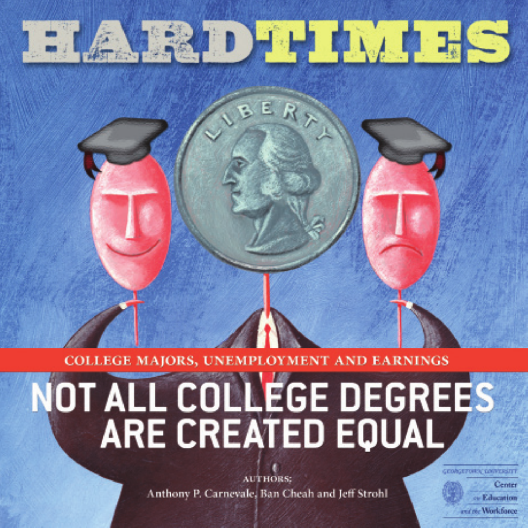

# **COLLEGE MAJORS, UNEMPLOYMENT AND EARNINGS**

# NOT ALL COLLEGE DEGREES

**AUTHORS:** Anthony P. Carnevale, Ban Cheah and Jeff Strohl **CEOPGETORS CONVERSITY** 

Center or Education ent the Worldforce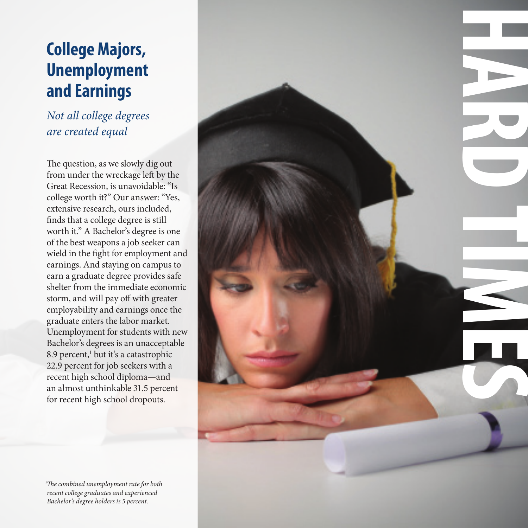# **College Majors, Unemployment and Earnings**

*Not all college degrees are created equal*

The question, as we slowly dig out from under the wreckage left by the Great Recession, is unavoidable: "Is college worth it?" Our answer: "Yes, extensive research, ours included, finds that a college degree is still worth it." A Bachelor's degree is one of the best weapons a job seeker can wield in the fight for employment and earnings. And staying on campus to earn a graduate degree provides safe shelter from the immediate economic storm, and will pay off with greater employability and earnings once the graduate enters the labor market. Unemployment for students with new Bachelor's degrees is an unacceptable 8.9 percent,<sup>1</sup> but it's a catastrophic 22.9 percent for job seekers with a recent high school diploma—and an almost unthinkable 31.5 percent for recent high school dropouts.

**HARD TIMES**

*1 The combined unemployment rate for both recent college graduates and experienced Bachelor's degree holders is 5 percent.*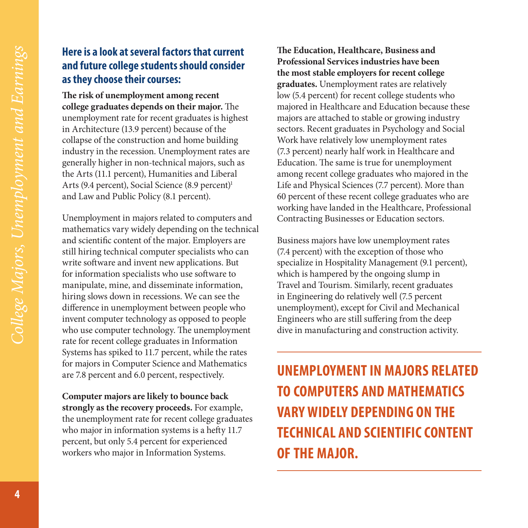#### **Here is a look at several factors that current and future college students should consider as they choose their courses:**

**The risk of unemployment among recent college graduates depends on their major.** The unemployment rate for recent graduates is highest in Architecture (13.9 percent) because of the collapse of the construction and home building industry in the recession. Unemployment rates are generally higher in non-technical majors, such as the Arts (11.1 percent), Humanities and Liberal Arts (9.4 percent), Social Science (8.9 percent)<sup>1</sup> and Law and Public Policy (8.1 percent).

Unemployment in majors related to computers and mathematics vary widely depending on the technical and scientific content of the major. Employers are still hiring technical computer specialists who can write software and invent new applications. But for information specialists who use software to manipulate, mine, and disseminate information, hiring slows down in recessions. We can see the difference in unemployment between people who invent computer technology as opposed to people who use computer technology. The unemployment rate for recent college graduates in Information Systems has spiked to 11.7 percent, while the rates for majors in Computer Science and Mathematics are 7.8 percent and 6.0 percent, respectively.

**Computer majors are likely to bounce back strongly as the recovery proceeds.** For example, the unemployment rate for recent college graduates who major in information systems is a hefty 11.7 percent, but only 5.4 percent for experienced workers who major in Information Systems.

**The Education, Healthcare, Business and Professional Services industries have been the most stable employers for recent college graduates.** Unemployment rates are relatively low (5.4 percent) for recent college students who majored in Healthcare and Education because these majors are attached to stable or growing industry sectors. Recent graduates in Psychology and Social Work have relatively low unemployment rates (7.3 percent) nearly half work in Healthcare and Education. The same is true for unemployment among recent college graduates who majored in the Life and Physical Sciences (7.7 percent). More than 60 percent of these recent college graduates who are working have landed in the Healthcare, Professional Contracting Businesses or Education sectors.

Business majors have low unemployment rates (7.4 percent) with the exception of those who specialize in Hospitality Management (9.1 percent), which is hampered by the ongoing slump in Travel and Tourism. Similarly, recent graduates in Engineering do relatively well (7.5 percent unemployment), except for Civil and Mechanical Engineers who are still suffering from the deep dive in manufacturing and construction activity.

**UNEMPLOYMENT IN MAJORS RELATED TO COMPUTERS AND MATHEMATICS VARY WIDELY DEPENDING ON THE TECHNICAL AND SCIENTIFIC CONTENT OF THE MAJOR.**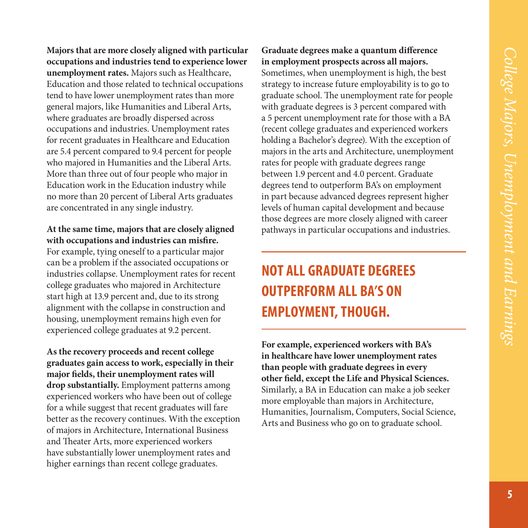**Majors that are more closely aligned with particular occupations and industries tend to experience lower unemployment rates.** Majors such as Healthcare, Education and those related to technical occupations tend to have lower unemployment rates than more general majors, like Humanities and Liberal Arts, where graduates are broadly dispersed across occupations and industries. Unemployment rates for recent graduates in Healthcare and Education are 5.4 percent compared to 9.4 percent for people who majored in Humanities and the Liberal Arts. More than three out of four people who major in Education work in the Education industry while no more than 20 percent of Liberal Arts graduates are concentrated in any single industry.

#### **At the same time, majors that are closely aligned with occupations and industries can misfire.**

For example, tying oneself to a particular major can be a problem if the associated occupations or industries collapse. Unemployment rates for recent college graduates who majored in Architecture start high at 13.9 percent and, due to its strong alignment with the collapse in construction and housing, unemployment remains high even for experienced college graduates at 9.2 percent.

**As the recovery proceeds and recent college graduates gain access to work, especially in their major fields, their unemployment rates will drop substantially.** Employment patterns among experienced workers who have been out of college for a while suggest that recent graduates will fare better as the recovery continues. With the exception of majors in Architecture, International Business and Theater Arts, more experienced workers have substantially lower unemployment rates and higher earnings than recent college graduates.

#### **Graduate degrees make a quantum difference in employment prospects across all majors.**

Sometimes, when unemployment is high, the best strategy to increase future employability is to go to graduate school. The unemployment rate for people with graduate degrees is 3 percent compared with a 5 percent unemployment rate for those with a BA (recent college graduates and experienced workers holding a Bachelor's degree). With the exception of majors in the arts and Architecture, unemployment rates for people with graduate degrees range between 1.9 percent and 4.0 percent. Graduate degrees tend to outperform BA's on employment in part because advanced degrees represent higher levels of human capital development and because those degrees are more closely aligned with career pathways in particular occupations and industries.

# **NOT ALL GRADUATE DEGREES OUTPERFORM ALL BA'S ON EMPLOYMENT, THOUGH.**

**For example, experienced workers with BA's in healthcare have lower unemployment rates than people with graduate degrees in every other field, except the Life and Physical Sciences.** Similarly, a BA in Education can make a job seeker more employable than majors in Architecture, Humanities, Journalism, Computers, Social Science, Arts and Business who go on to graduate school.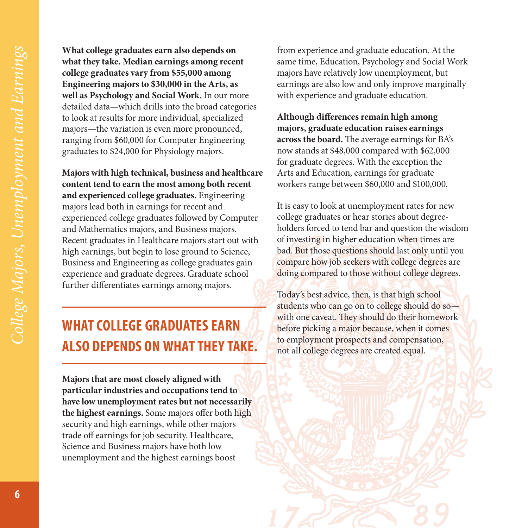**What college graduates earn also depends on what they take. Median earnings among recent college graduates vary from \$55,000 among Engineering majors to \$30,000 in the Arts, as well as Psychology and Social Work.** In our more detailed data—which drills into the broad categories to look at results for more individual, specialized majors—the variation is even more pronounced, ranging from \$60,000 for Computer Engineering graduates to \$24,000 for Physiology majors.

**Majors with high technical, business and healthcare content tend to earn the most among both recent and experienced college graduates.** Engineering majors lead both in earnings for recent and experienced college graduates followed by Computer and Mathematics majors, and Business majors. Recent graduates in Healthcare majors start out with high earnings, but begin to lose ground to Science, Business and Engineering as college graduates gain experience and graduate degrees. Graduate school further differentiates earnings among majors.

# **WHAT COLLEGE GRADUATES EARN ALSO DEPENDS ON WHAT THEY TAKE.**

**Majors that are most closely aligned with particular industries and occupations tend to have low unemployment rates but not necessarily the highest earnings.** Some majors offer both high security and high earnings, while other majors trade off earnings for job security. Healthcare, Science and Business majors have both low unemployment and the highest earnings boost

from experience and graduate education. At the same time, Education, Psychology and Social Work majors have relatively low unemployment, but earnings are also low and only improve marginally with experience and graduate education.

**Although differences remain high among majors, graduate education raises earnings across the board.** The average earnings for BA's now stands at \$48,000 compared with \$62,000 for graduate degrees. With the exception the Arts and Education, earnings for graduate workers range between \$60,000 and \$100,000.

It is easy to look at unemployment rates for new college graduates or hear stories about degreeholders forced to tend bar and question the wisdom of investing in higher education when times are bad. But those questions should last only until you compare how job seekers with college degrees are doing compared to those without college degrees.

Today's best advice, then, is that high school students who can go on to college should do so with one caveat. They should do their homework before picking a major because, when it comes to employment prospects and compensation, not all college degrees are created equal.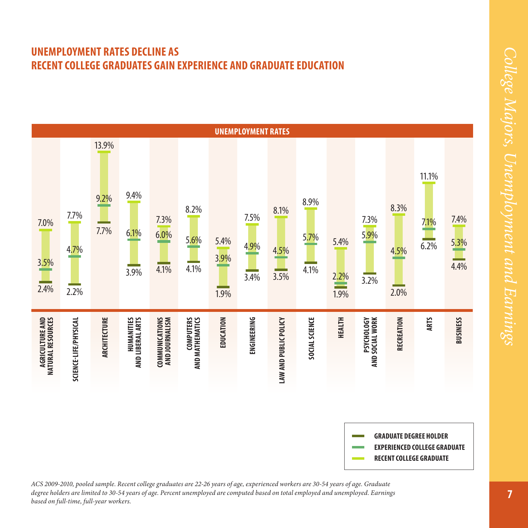#### **UNEMPLOYMENT RATES DECLINE AS RECENT COLLEGE GRADUATES GAIN EXPERIENCE AND GRADUATE EDUCATION**

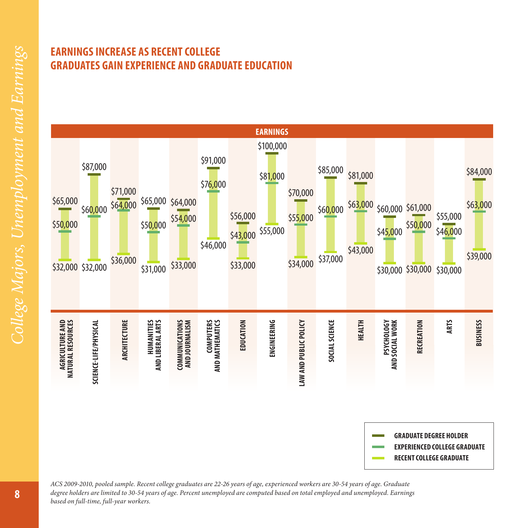#### **EARNINGS INCREASE AS RECENT COLLEGE GRADUATES GAIN EXPERIENCE AND GRADUATE EDUCATION**

![](_page_7_Figure_1.jpeg)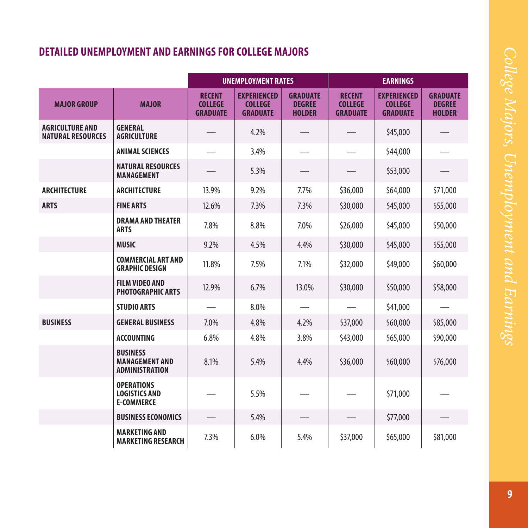### **DETAILED UNEMPLOYMENT AND EARNINGS FOR COLLEGE MAJORS**

|                                                    |                                                                   | <b>UNEMPLOYMENT RATES</b>                          |                                                         | <b>EARNINGS</b>                                   |                                                    |                                                         |                                                   |
|----------------------------------------------------|-------------------------------------------------------------------|----------------------------------------------------|---------------------------------------------------------|---------------------------------------------------|----------------------------------------------------|---------------------------------------------------------|---------------------------------------------------|
| <b>MAJOR GROUP</b>                                 | <b>MAJOR</b>                                                      | <b>RECENT</b><br><b>COLLEGE</b><br><b>GRADUATE</b> | <b>EXPERIENCED</b><br><b>COLLEGE</b><br><b>GRADUATE</b> | <b>GRADUATE</b><br><b>DEGREE</b><br><b>HOLDER</b> | <b>RECENT</b><br><b>COLLEGE</b><br><b>GRADUATE</b> | <b>EXPERIENCED</b><br><b>COLLEGE</b><br><b>GRADUATE</b> | <b>GRADUATE</b><br><b>DEGREE</b><br><b>HOLDER</b> |
| <b>AGRICULTURE AND</b><br><b>NATURAL RESOURCES</b> | <b>GENERAL</b><br><b>AGRICULTURE</b>                              |                                                    | 4.2%                                                    |                                                   |                                                    | \$45,000                                                |                                                   |
|                                                    | <b>ANIMAL SCIENCES</b>                                            |                                                    | 3.4%                                                    |                                                   |                                                    | \$44,000                                                |                                                   |
|                                                    | <b>NATURAL RESOURCES</b><br><b>MANAGEMENT</b>                     |                                                    | 5.3%                                                    |                                                   |                                                    | \$53,000                                                |                                                   |
| <b>ARCHITECTURE</b>                                | <b>ARCHITECTURE</b>                                               | 13.9%                                              | 9.2%                                                    | 7.7%                                              | \$36,000                                           | \$64,000                                                | \$71,000                                          |
| <b>ARTS</b>                                        | <b>FINE ARTS</b>                                                  | 12.6%                                              | 7.3%                                                    | 7.3%                                              | \$30,000                                           | \$45,000                                                | \$55,000                                          |
|                                                    | <b>DRAMA AND THEATER</b><br><b>ARTS</b>                           | 7.8%                                               | 8.8%                                                    | 7.0%                                              | \$26,000                                           | \$45,000                                                | \$50,000                                          |
|                                                    | <b>MUSIC</b>                                                      | 9.2%                                               | 4.5%                                                    | 4.4%                                              | \$30,000                                           | \$45,000                                                | \$55,000                                          |
|                                                    | <b>COMMERCIAL ART AND</b><br><b>GRAPHIC DESIGN</b>                | 11.8%                                              | 7.5%                                                    | 7.1%                                              | \$32,000                                           | \$49,000                                                | \$60,000                                          |
|                                                    | <b>FILM VIDEO AND</b><br><b>PHOTOGRAPHIC ARTS</b>                 | 12.9%                                              | 6.7%                                                    | 13.0%                                             | \$30,000                                           | \$50,000                                                | \$58,000                                          |
|                                                    | <b>STUDIO ARTS</b>                                                |                                                    | 8.0%                                                    |                                                   |                                                    | \$41,000                                                |                                                   |
| <b>BUSINESS</b>                                    | <b>GENERAL BUSINESS</b>                                           | 7.0%                                               | 4.8%                                                    | 4.2%                                              | \$37,000                                           | \$60,000                                                | \$85,000                                          |
|                                                    | <b>ACCOUNTING</b>                                                 | 6.8%                                               | 4.8%                                                    | 3.8%                                              | \$43,000                                           | \$65,000                                                | \$90,000                                          |
|                                                    | <b>BUSINESS</b><br><b>MANAGEMENT AND</b><br><b>ADMINISTRATION</b> | 8.1%                                               | 5.4%                                                    | 4.4%                                              | \$36,000                                           | \$60,000                                                | \$76,000                                          |
|                                                    | <b>OPERATIONS</b><br><b>LOGISTICS AND</b><br><b>E-COMMERCE</b>    |                                                    | 5.5%                                                    |                                                   |                                                    | \$71,000                                                |                                                   |
|                                                    | <b>BUSINESS ECONOMICS</b>                                         |                                                    | 5.4%                                                    |                                                   |                                                    | \$77,000                                                |                                                   |
|                                                    | <b>MARKETING AND</b><br><b>MARKETING RESEARCH</b>                 | 7.3%                                               | 6.0%                                                    | 5.4%                                              | \$37,000                                           | \$65,000                                                | \$81,000                                          |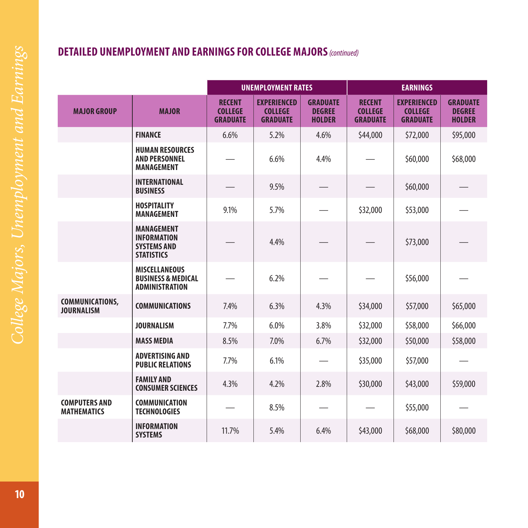|                                             |                                                                                    |                                                    | <b>UNEMPLOYMENT RATES</b>                               | <b>EARNINGS</b>                                   |                                                    |                                                         |                                                   |  |
|---------------------------------------------|------------------------------------------------------------------------------------|----------------------------------------------------|---------------------------------------------------------|---------------------------------------------------|----------------------------------------------------|---------------------------------------------------------|---------------------------------------------------|--|
| <b>MAJOR GROUP</b>                          | <b>MAJOR</b>                                                                       | <b>RECENT</b><br><b>COLLEGE</b><br><b>GRADUATE</b> | <b>EXPERIENCED</b><br><b>COLLEGE</b><br><b>GRADUATE</b> | <b>GRADUATE</b><br><b>DEGREE</b><br><b>HOLDER</b> | <b>RECENT</b><br><b>COLLEGE</b><br><b>GRADUATE</b> | <b>EXPERIENCED</b><br><b>COLLEGE</b><br><b>GRADUATE</b> | <b>GRADUATE</b><br><b>DEGREE</b><br><b>HOLDER</b> |  |
|                                             | <b>FINANCE</b>                                                                     | 6.6%                                               | 5.2%                                                    | 4.6%                                              | \$44,000                                           | \$72,000                                                | \$95,000                                          |  |
|                                             | <b>HUMAN RESOURCES</b><br><b>AND PERSONNEL</b><br><b>MANAGEMENT</b>                |                                                    | 6.6%                                                    | 4.4%                                              |                                                    | \$60,000                                                | \$68,000                                          |  |
|                                             | <b>INTERNATIONAL</b><br><b>BUSINESS</b>                                            |                                                    | 9.5%                                                    |                                                   |                                                    | \$60,000                                                |                                                   |  |
|                                             | <b>HOSPITALITY</b><br><b>MANAGEMENT</b>                                            | 9.1%                                               | 5.7%                                                    |                                                   | \$32,000                                           | \$53,000                                                |                                                   |  |
|                                             | <b>MANAGEMENT</b><br><b>INFORMATION</b><br><b>SYSTEMS AND</b><br><b>STATISTICS</b> |                                                    | 4.4%                                                    |                                                   |                                                    | \$73,000                                                |                                                   |  |
|                                             | <b>MISCELLANEOUS</b><br><b>BUSINESS &amp; MEDICAL</b><br><b>ADMINISTRATION</b>     |                                                    | 6.2%                                                    |                                                   |                                                    | \$56,000                                                |                                                   |  |
| <b>COMMUNICATIONS,</b><br><b>JOURNALISM</b> | <b>COMMUNICATIONS</b>                                                              | 7.4%                                               | 6.3%                                                    | 4.3%                                              | \$34,000                                           | \$57,000                                                | \$65,000                                          |  |
|                                             | <b>JOURNALISM</b>                                                                  | 7.7%                                               | 6.0%                                                    | 3.8%                                              | \$32,000                                           | \$58,000                                                | \$66,000                                          |  |
|                                             | <b>MASS MEDIA</b>                                                                  | 8.5%                                               | 7.0%                                                    | 6.7%                                              | \$32,000                                           | \$50,000                                                | \$58,000                                          |  |
|                                             | <b>ADVERTISING AND</b><br><b>PUBLIC RELATIONS</b>                                  | 7.7%                                               | 6.1%                                                    |                                                   | \$35,000                                           | \$57,000                                                |                                                   |  |
|                                             | <b>FAMILY AND</b><br><b>CONSUMER SCIENCES</b>                                      | 4.3%                                               | 4.2%                                                    | 2.8%                                              | \$30,000                                           | \$43,000                                                | \$59,000                                          |  |
| <b>COMPUTERS AND</b><br><b>MATHEMATICS</b>  | <b>COMMUNICATION</b><br><b>TECHNOLOGIES</b>                                        |                                                    | 8.5%                                                    |                                                   |                                                    | \$55,000                                                |                                                   |  |
|                                             | <b>INFORMATION</b><br><b>SYSTEMS</b>                                               | 11.7%                                              | 5.4%                                                    | 6.4%                                              | \$43,000                                           | \$68,000                                                | \$80,000                                          |  |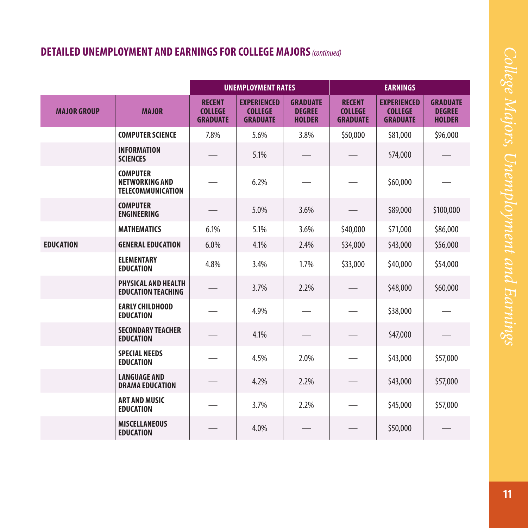|                    |                                                                      | <b>UNEMPLOYMENT RATES</b>                          |                                                         |                                                   | <b>EARNINGS</b>                                    |                                                         |                                                   |  |
|--------------------|----------------------------------------------------------------------|----------------------------------------------------|---------------------------------------------------------|---------------------------------------------------|----------------------------------------------------|---------------------------------------------------------|---------------------------------------------------|--|
| <b>MAJOR GROUP</b> | <b>MAJOR</b>                                                         | <b>RECENT</b><br><b>COLLEGE</b><br><b>GRADUATE</b> | <b>EXPERIENCED</b><br><b>COLLEGE</b><br><b>GRADUATE</b> | <b>GRADUATE</b><br><b>DEGREE</b><br><b>HOLDER</b> | <b>RECENT</b><br><b>COLLEGE</b><br><b>GRADUATE</b> | <b>EXPERIENCED</b><br><b>COLLEGE</b><br><b>GRADUATE</b> | <b>GRADUATE</b><br><b>DEGREE</b><br><b>HOLDER</b> |  |
|                    | <b>COMPUTER SCIENCE</b>                                              | 7.8%                                               | 5.6%                                                    | 3.8%                                              | \$50,000                                           | \$81,000                                                | \$96,000                                          |  |
|                    | <b>INFORMATION</b><br><b>SCIENCES</b>                                |                                                    | 5.1%                                                    |                                                   |                                                    | \$74,000                                                |                                                   |  |
|                    | <b>COMPUTER</b><br><b>NETWORKING AND</b><br><b>TELECOMMUNICATION</b> |                                                    | 6.2%                                                    |                                                   |                                                    | \$60,000                                                |                                                   |  |
|                    | <b>COMPUTER</b><br><b>ENGINEERING</b>                                |                                                    | 5.0%                                                    | 3.6%                                              |                                                    | \$89,000                                                | \$100,000                                         |  |
|                    | <b>MATHEMATICS</b>                                                   | 6.1%                                               | 5.1%                                                    | 3.6%                                              | \$40,000                                           | \$71,000                                                | \$86,000                                          |  |
| <b>EDUCATION</b>   | <b>GENERAL EDUCATION</b>                                             | 6.0%                                               | 4.1%                                                    | 2.4%                                              | \$34,000                                           | \$43,000                                                | \$56,000                                          |  |
|                    | <b>ELEMENTARY</b><br><b>EDUCATION</b>                                | 4.8%                                               | 3.4%                                                    | 1.7%                                              | \$33,000                                           | \$40,000                                                | \$54,000                                          |  |
|                    | PHYSICAL AND HEALTH<br><b>EDUCATION TEACHING</b>                     |                                                    | 3.7%                                                    | 2.2%                                              |                                                    | \$48,000                                                | \$60,000                                          |  |
|                    | <b>EARLY CHILDHOOD</b><br><b>EDUCATION</b>                           |                                                    | 4.9%                                                    |                                                   |                                                    | \$38,000                                                |                                                   |  |
|                    | <b>SECONDARY TEACHER</b><br><b>EDUCATION</b>                         |                                                    | 4.1%                                                    |                                                   |                                                    | \$47,000                                                |                                                   |  |
|                    | <b>SPECIAL NEEDS</b><br><b>EDUCATION</b>                             |                                                    | 4.5%                                                    | 2.0%                                              |                                                    | \$43,000                                                | \$57,000                                          |  |
|                    | <b>LANGUAGE AND</b><br><b>DRAMA EDUCATION</b>                        |                                                    | 4.2%                                                    | 2.2%                                              |                                                    | \$43,000                                                | \$57,000                                          |  |
|                    | <b>ART AND MUSIC</b><br><b>EDUCATION</b>                             |                                                    | 3.7%                                                    | 2.2%                                              |                                                    | \$45,000                                                | \$57,000                                          |  |
|                    | <b>MISCELLANEOUS</b><br><b>EDUCATION</b>                             |                                                    | 4.0%                                                    |                                                   |                                                    | \$50,000                                                |                                                   |  |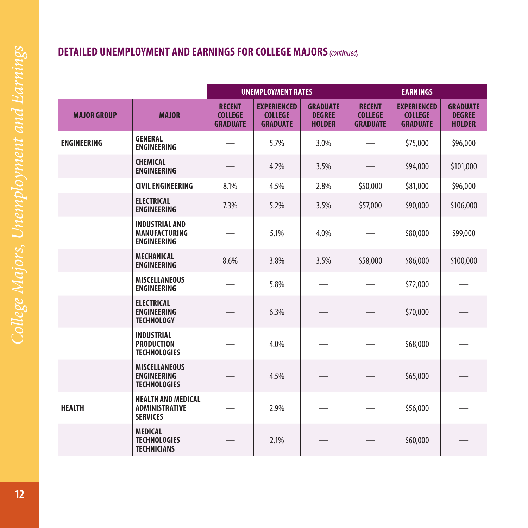|                    | <b>UNEMPLOYMENT RATES</b>                                             |                                                    |                                                         | <b>EARNINGS</b>                                   |                                                    |                                                         |                                                   |  |
|--------------------|-----------------------------------------------------------------------|----------------------------------------------------|---------------------------------------------------------|---------------------------------------------------|----------------------------------------------------|---------------------------------------------------------|---------------------------------------------------|--|
| <b>MAJOR GROUP</b> | <b>MAJOR</b>                                                          | <b>RECENT</b><br><b>COLLEGE</b><br><b>GRADUATE</b> | <b>EXPERIENCED</b><br><b>COLLEGE</b><br><b>GRADUATE</b> | <b>GRADUATE</b><br><b>DEGREE</b><br><b>HOLDER</b> | <b>RECENT</b><br><b>COLLEGE</b><br><b>GRADUATE</b> | <b>EXPERIENCED</b><br><b>COLLEGE</b><br><b>GRADUATE</b> | <b>GRADUATE</b><br><b>DEGREE</b><br><b>HOLDER</b> |  |
| <b>ENGINEERING</b> | <b>GENERAL</b><br><b>ENGINEERING</b>                                  |                                                    | 5.7%                                                    | 3.0%                                              |                                                    | \$75,000                                                | \$96,000                                          |  |
|                    | <b>CHEMICAL</b><br><b>ENGINEERING</b>                                 |                                                    | 4.2%                                                    | 3.5%                                              |                                                    | \$94,000                                                | \$101,000                                         |  |
|                    | <b>CIVIL ENGINEERING</b>                                              | 8.1%                                               | 4.5%                                                    | 2.8%                                              | \$50,000                                           | \$81,000                                                | \$96,000                                          |  |
|                    | <b>ELECTRICAL</b><br><b>ENGINEERING</b>                               | 7.3%                                               | 5.2%                                                    | 3.5%                                              | \$57,000                                           | \$90,000                                                | \$106,000                                         |  |
|                    | <b>INDUSTRIAL AND</b><br><b>MANUFACTURING</b><br><b>ENGINEERING</b>   |                                                    | 5.1%                                                    | 4.0%                                              |                                                    | \$80,000                                                | \$99,000                                          |  |
|                    | <b>MECHANICAL</b><br><b>ENGINEERING</b>                               | 8.6%                                               | 3.8%                                                    | 3.5%                                              | \$58,000                                           | \$86,000                                                | \$100,000                                         |  |
|                    | <b>MISCELLANEOUS</b><br><b>ENGINEERING</b>                            |                                                    | 5.8%                                                    |                                                   |                                                    | \$72,000                                                |                                                   |  |
|                    | <b>ELECTRICAL</b><br><b>ENGINEERING</b><br><b>TECHNOLOGY</b>          |                                                    | 6.3%                                                    |                                                   |                                                    | \$70,000                                                |                                                   |  |
|                    | <b>INDUSTRIAL</b><br><b>PRODUCTION</b><br><b>TECHNOLOGIES</b>         |                                                    | 4.0%                                                    |                                                   |                                                    | \$68,000                                                |                                                   |  |
|                    | <b>MISCELLANEOUS</b><br><b>ENGINEERING</b><br><b>TECHNOLOGIES</b>     |                                                    | 4.5%                                                    |                                                   |                                                    | \$65,000                                                |                                                   |  |
| <b>HEALTH</b>      | <b>HEALTH AND MEDICAL</b><br><b>ADMINISTRATIVE</b><br><b>SERVICES</b> |                                                    | 2.9%                                                    |                                                   |                                                    | \$56,000                                                |                                                   |  |
|                    | <b>MEDICAL</b><br><b>TECHNOLOGIES</b><br><b>TECHNICIANS</b>           |                                                    | 2.1%                                                    |                                                   |                                                    | \$60,000                                                |                                                   |  |
|                    |                                                                       |                                                    |                                                         |                                                   |                                                    |                                                         |                                                   |  |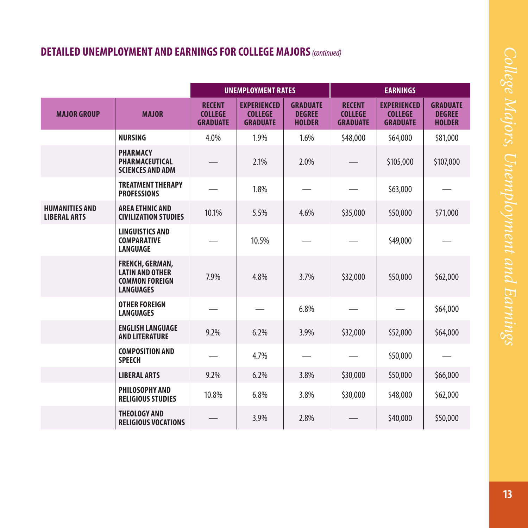|                                              |                                                                                               | <b>UNEMPLOYMENT RATES</b>                          |                                                         |                                                   | <b>EARNINGS</b>                                    |                                                         |                                                   |  |
|----------------------------------------------|-----------------------------------------------------------------------------------------------|----------------------------------------------------|---------------------------------------------------------|---------------------------------------------------|----------------------------------------------------|---------------------------------------------------------|---------------------------------------------------|--|
| <b>MAJOR GROUP</b>                           | <b>MAJOR</b>                                                                                  | <b>RECENT</b><br><b>COLLEGE</b><br><b>GRADUATE</b> | <b>EXPERIENCED</b><br><b>COLLEGE</b><br><b>GRADUATE</b> | <b>GRADUATE</b><br><b>DEGREE</b><br><b>HOLDER</b> | <b>RECENT</b><br><b>COLLEGE</b><br><b>GRADUATE</b> | <b>EXPERIENCED</b><br><b>COLLEGE</b><br><b>GRADUATE</b> | <b>GRADUATE</b><br><b>DEGREE</b><br><b>HOLDER</b> |  |
|                                              | <b>NURSING</b>                                                                                | 4.0%                                               | 1.9%                                                    | 1.6%                                              | \$48,000                                           | \$64,000                                                | \$81,000                                          |  |
|                                              | <b>PHARMACY</b><br><b>PHARMACEUTICAL</b><br><b>SCIENCES AND ADM</b>                           |                                                    | 2.1%                                                    | 2.0%                                              |                                                    | \$105,000                                               | \$107,000                                         |  |
|                                              | <b>TREATMENT THERAPY</b><br><b>PROFESSIONS</b>                                                |                                                    | 1.8%                                                    |                                                   |                                                    | \$63,000                                                |                                                   |  |
| <b>HUMANITIES AND</b><br><b>LIBERAL ARTS</b> | <b>AREA ETHNIC AND</b><br><b>CIVILIZATION STUDIES</b>                                         | 10.1%                                              | 5.5%                                                    | 4.6%                                              | \$35,000                                           | \$50,000                                                | \$71,000                                          |  |
|                                              | <b>LINGUISTICS AND</b><br><b>COMPARATIVE</b><br><b>LANGUAGE</b>                               |                                                    | 10.5%                                                   |                                                   |                                                    | \$49,000                                                |                                                   |  |
|                                              | <b>FRENCH, GERMAN,</b><br><b>LATIN AND OTHER</b><br><b>COMMON FOREIGN</b><br><b>LANGUAGES</b> | 7.9%                                               | 4.8%                                                    | 3.7%                                              | \$32,000                                           | \$50,000                                                | \$62,000                                          |  |
|                                              | <b>OTHER FOREIGN</b><br><b>LANGUAGES</b>                                                      |                                                    |                                                         | 6.8%                                              |                                                    |                                                         | \$64,000                                          |  |
|                                              | <b>ENGLISH LANGUAGE</b><br><b>AND LITERATURE</b>                                              | 9.2%                                               | 6.2%                                                    | 3.9%                                              | \$32,000                                           | \$52,000                                                | \$64,000                                          |  |
|                                              | <b>COMPOSITION AND</b><br><b>SPEECH</b>                                                       |                                                    | 4.7%                                                    |                                                   |                                                    | \$50,000                                                |                                                   |  |
|                                              | <b>LIBERAL ARTS</b>                                                                           | 9.2%                                               | 6.2%                                                    | 3.8%                                              | \$30,000                                           | \$50,000                                                | \$66,000                                          |  |
|                                              | PHILOSOPHY AND<br><b>RELIGIOUS STUDIES</b>                                                    | 10.8%                                              | 6.8%                                                    | 3.8%                                              | \$30,000                                           | \$48,000                                                | \$62,000                                          |  |
|                                              | <b>THEOLOGY AND</b><br><b>RELIGIOUS VOCATIONS</b>                                             |                                                    | 3.9%                                                    | 2.8%                                              |                                                    | \$40,000                                                | \$50,000                                          |  |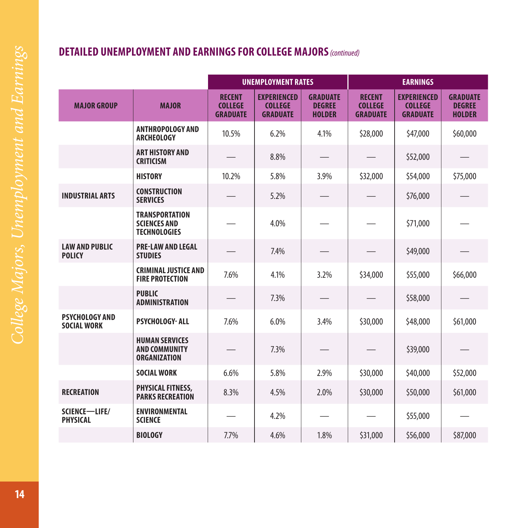|                                             |                                                                      | <b>UNEMPLOYMENT RATES</b>                          |                                                         | <b>EARNINGS</b>                                   |                                                    |                                                         |                                                   |
|---------------------------------------------|----------------------------------------------------------------------|----------------------------------------------------|---------------------------------------------------------|---------------------------------------------------|----------------------------------------------------|---------------------------------------------------------|---------------------------------------------------|
| <b>MAJOR GROUP</b>                          | <b>MAJOR</b>                                                         | <b>RECENT</b><br><b>COLLEGE</b><br><b>GRADUATE</b> | <b>EXPERIENCED</b><br><b>COLLEGE</b><br><b>GRADUATE</b> | <b>GRADUATE</b><br><b>DEGREE</b><br><b>HOLDER</b> | <b>RECENT</b><br><b>COLLEGE</b><br><b>GRADUATE</b> | <b>EXPERIENCED</b><br><b>COLLEGE</b><br><b>GRADUATE</b> | <b>GRADUATE</b><br><b>DEGREE</b><br><b>HOLDER</b> |
|                                             | <b>ANTHROPOLOGY AND</b><br><b>ARCHEOLOGY</b>                         | 10.5%                                              | 6.2%                                                    | 4.1%                                              | \$28,000                                           | \$47,000                                                | \$60,000                                          |
|                                             | <b>ART HISTORY AND</b><br><b>CRITICISM</b>                           |                                                    | 8.8%                                                    |                                                   |                                                    | \$52,000                                                |                                                   |
|                                             | <b>HISTORY</b>                                                       | 10.2%                                              | 5.8%                                                    | 3.9%                                              | \$32,000                                           | \$54,000                                                | \$75,000                                          |
| <b>INDUSTRIAL ARTS</b>                      | <b>CONSTRUCTION</b><br><b>SERVICES</b>                               |                                                    | 5.2%                                                    |                                                   |                                                    | \$76,000                                                |                                                   |
|                                             | <b>TRANSPORTATION</b><br><b>SCIENCES AND</b><br><b>TECHNOLOGIES</b>  |                                                    | 4.0%                                                    |                                                   |                                                    | \$71,000                                                |                                                   |
| <b>LAW AND PUBLIC</b><br><b>POLICY</b>      | <b>PRE-LAW AND LEGAL</b><br><b>STUDIES</b>                           |                                                    | 7.4%                                                    |                                                   |                                                    | \$49,000                                                |                                                   |
|                                             | <b>CRIMINAL JUSTICE AND</b><br><b>FIRE PROTECTION</b>                | 7.6%                                               | 4.1%                                                    | 3.2%                                              | \$34,000                                           | \$55,000                                                | \$66,000                                          |
|                                             | <b>PUBLIC</b><br><b>ADMINISTRATION</b>                               |                                                    | 7.3%                                                    |                                                   |                                                    | \$58,000                                                |                                                   |
| <b>PSYCHOLOGY AND</b><br><b>SOCIAL WORK</b> | PSYCHOLOGY- ALL                                                      | 7.6%                                               | 6.0%                                                    | 3.4%                                              | \$30,000                                           | \$48,000                                                | \$61,000                                          |
|                                             | <b>HUMAN SERVICES</b><br><b>AND COMMUNITY</b><br><b>ORGANIZATION</b> |                                                    | 7.3%                                                    |                                                   |                                                    | \$39,000                                                |                                                   |
|                                             | <b>SOCIAL WORK</b>                                                   | 6.6%                                               | 5.8%                                                    | 2.9%                                              | \$30,000                                           | \$40,000                                                | \$52,000                                          |
| <b>RECREATION</b>                           | PHYSICAL FITNESS,<br><b>PARKS RECREATION</b>                         | 8.3%                                               | 4.5%                                                    | 2.0%                                              | \$30,000                                           | \$50,000                                                | \$61,000                                          |
| SCIENCE-LIFE/<br><b>PHYSICAL</b>            | <b>ENVIRONMENTAL</b><br><b>SCIENCE</b>                               |                                                    | 4.2%                                                    |                                                   |                                                    | \$55,000                                                |                                                   |
|                                             | <b>BIOLOGY</b>                                                       | 7.7%                                               | 4.6%                                                    | 1.8%                                              | \$31,000                                           | \$56,000                                                | \$87,000                                          |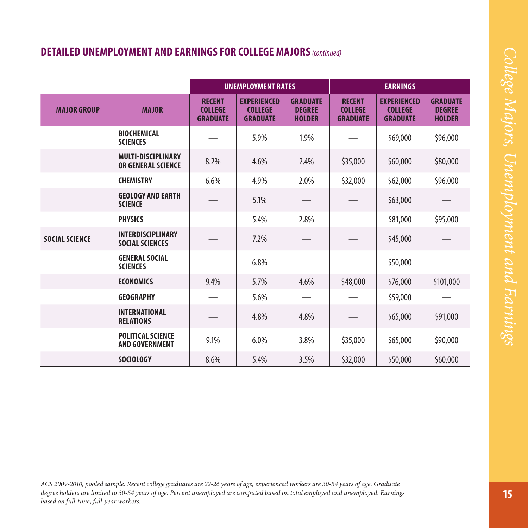|                       |                                                        | <b>UNEMPLOYMENT RATES</b>                          |                                                         |                                                   | <b>EARNINGS</b>                                    |                                                         |                                                   |  |
|-----------------------|--------------------------------------------------------|----------------------------------------------------|---------------------------------------------------------|---------------------------------------------------|----------------------------------------------------|---------------------------------------------------------|---------------------------------------------------|--|
| <b>MAJOR GROUP</b>    | <b>MAJOR</b>                                           | <b>RECENT</b><br><b>COLLEGE</b><br><b>GRADUATE</b> | <b>EXPERIENCED</b><br><b>COLLEGE</b><br><b>GRADUATE</b> | <b>GRADUATE</b><br><b>DEGREE</b><br><b>HOLDER</b> | <b>RECENT</b><br><b>COLLEGE</b><br><b>GRADUATE</b> | <b>EXPERIENCED</b><br><b>COLLEGE</b><br><b>GRADUATE</b> | <b>GRADUATE</b><br><b>DEGREE</b><br><b>HOLDER</b> |  |
|                       | <b>BIOCHEMICAL</b><br><b>SCIENCES</b>                  |                                                    | 5.9%                                                    | 1.9%                                              |                                                    | \$69,000                                                | \$96,000                                          |  |
|                       | <b>MULTI-DISCIPLINARY</b><br><b>OR GENERAL SCIENCE</b> | 8.2%                                               | 4.6%                                                    | 2.4%                                              | \$35,000                                           | \$60,000                                                | \$80,000                                          |  |
|                       | <b>CHEMISTRY</b>                                       | 6.6%                                               | 4.9%                                                    | 2.0%                                              | \$32,000                                           | \$62,000                                                | \$96,000                                          |  |
|                       | <b>GEOLOGY AND EARTH</b><br><b>SCIENCE</b>             |                                                    | 5.1%                                                    |                                                   |                                                    | \$63,000                                                |                                                   |  |
|                       | <b>PHYSICS</b>                                         |                                                    | 5.4%                                                    | 2.8%                                              |                                                    | \$81,000                                                | \$95,000                                          |  |
| <b>SOCIAL SCIENCE</b> | <b>INTERDISCIPLINARY</b><br><b>SOCIAL SCIENCES</b>     |                                                    | 7.2%                                                    |                                                   |                                                    | \$45,000                                                |                                                   |  |
|                       | <b>GENERAL SOCIAL</b><br><b>SCIENCES</b>               |                                                    | 6.8%                                                    |                                                   |                                                    | \$50,000                                                |                                                   |  |
|                       | <b>ECONOMICS</b>                                       | 9.4%                                               | 5.7%                                                    | 4.6%                                              | \$48,000                                           | \$76,000                                                | \$101,000                                         |  |
|                       | <b>GEOGRAPHY</b>                                       |                                                    | 5.6%                                                    |                                                   |                                                    | \$59,000                                                |                                                   |  |
|                       | <b>INTERNATIONAL</b><br><b>RELATIONS</b>               |                                                    | 4.8%                                                    | 4.8%                                              |                                                    | \$65,000                                                | \$91,000                                          |  |
|                       | <b>POLITICAL SCIENCE</b><br><b>AND GOVERNMENT</b>      | 9.1%                                               | 6.0%                                                    | 3.8%                                              | \$35,000                                           | \$65,000                                                | \$90,000                                          |  |
|                       | <b>SOCIOLOGY</b>                                       | 8.6%                                               | 5.4%                                                    | 3.5%                                              | \$32,000                                           | \$50,000                                                | \$60,000                                          |  |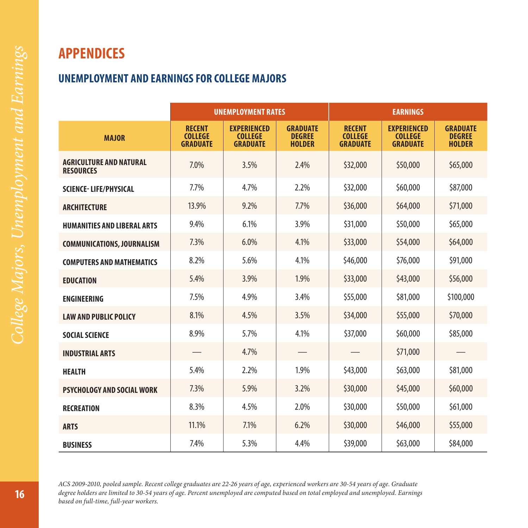# **APPENDICES**

#### **UNEMPLOYMENT AND EARNINGS FOR COLLEGE MAJORS**

|                                                    |                                                    | <b>UNEMPLOYMENT RATES</b>                               |                                                   | <b>EARNINGS</b>                                    |                                                         |                                                   |  |
|----------------------------------------------------|----------------------------------------------------|---------------------------------------------------------|---------------------------------------------------|----------------------------------------------------|---------------------------------------------------------|---------------------------------------------------|--|
| <b>MAJOR</b>                                       | <b>RECENT</b><br><b>COLLEGE</b><br><b>GRADUATE</b> | <b>EXPERIENCED</b><br><b>COLLEGE</b><br><b>GRADUATE</b> | <b>GRADUATE</b><br><b>DEGREE</b><br><b>HOLDER</b> | <b>RECENT</b><br><b>COLLEGE</b><br><b>GRADUATE</b> | <b>EXPERIENCED</b><br><b>COLLEGE</b><br><b>GRADUATE</b> | <b>GRADUATE</b><br><b>DEGREE</b><br><b>HOLDER</b> |  |
| <b>AGRICULTURE AND NATURAL</b><br><b>RESOURCES</b> | 7.0%                                               | 3.5%                                                    | 2.4%                                              | \$32,000                                           | \$50,000                                                | \$65,000                                          |  |
| <b>SCIENCE-LIFE/PHYSICAL</b>                       | 7.7%                                               | 4.7%                                                    | 2.2%                                              | \$32,000                                           | \$60,000                                                | \$87,000                                          |  |
| <b>ARCHITECTURE</b>                                | 13.9%                                              | 9.2%                                                    | 7.7%                                              | \$36,000                                           | \$64,000                                                | \$71,000                                          |  |
| <b>HUMANITIES AND LIBERAL ARTS</b>                 | 9.4%                                               | 6.1%                                                    | 3.9%                                              | \$31,000                                           | \$50,000                                                | \$65,000                                          |  |
| <b>COMMUNICATIONS, JOURNALISM</b>                  | 7.3%                                               | 6.0%                                                    | 4.1%                                              | \$33,000                                           | \$54,000                                                | \$64,000                                          |  |
| <b>COMPUTERS AND MATHEMATICS</b>                   | 8.2%                                               | 5.6%                                                    | 4.1%                                              | \$46,000                                           | \$76,000                                                | \$91,000                                          |  |
| <b>EDUCATION</b>                                   | 5.4%                                               | 3.9%                                                    | 1.9%                                              | \$33,000                                           | \$43,000                                                | \$56,000                                          |  |
| <b>ENGINEERING</b>                                 | 7.5%                                               | 4.9%                                                    | 3.4%                                              | \$55,000                                           | \$81,000                                                | \$100,000                                         |  |
| <b>LAW AND PUBLIC POLICY</b>                       | 8.1%                                               | 4.5%                                                    | 3.5%                                              | \$34,000                                           | \$55,000                                                | \$70,000                                          |  |
| <b>SOCIAL SCIENCE</b>                              | 8.9%                                               | 5.7%                                                    | 4.1%                                              | \$37,000                                           | \$60,000                                                | \$85,000                                          |  |
| <b>INDUSTRIAL ARTS</b>                             |                                                    | 4.7%                                                    |                                                   |                                                    | \$71,000                                                |                                                   |  |
| <b>HEALTH</b>                                      | 5.4%                                               | 2.2%                                                    | 1.9%                                              | \$43,000                                           | \$63,000                                                | \$81,000                                          |  |
| <b>PSYCHOLOGY AND SOCIAL WORK</b>                  | 7.3%                                               | 5.9%                                                    | 3.2%                                              | \$30,000                                           | \$45,000                                                | \$60,000                                          |  |
| <b>RECREATION</b>                                  | 8.3%                                               | 4.5%                                                    | 2.0%                                              | \$30,000                                           | \$50,000                                                | \$61,000                                          |  |
| <b>ARTS</b>                                        | 11.1%                                              | 7.1%                                                    | 6.2%                                              | \$30,000                                           | \$46,000                                                | \$55,000                                          |  |
| <b>BUSINESS</b>                                    | 7.4%                                               | 5.3%                                                    | 4.4%                                              | \$39,000                                           | \$63,000                                                | \$84,000                                          |  |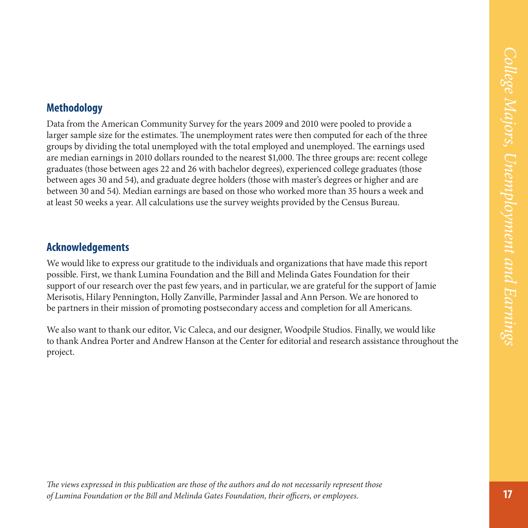#### **Methodology**

Data from the American Community Survey for the years 2009 and 2010 were pooled to provide a larger sample size for the estimates. The unemployment rates were then computed for each of the three groups by dividing the total unemployed with the total employed and unemployed. The earnings used are median earnings in 2010 dollars rounded to the nearest \$1,000. The three groups are: recent college graduates (those between ages 22 and 26 with bachelor degrees), experienced college graduates (those between ages 30 and 54), and graduate degree holders (those with master's degrees or higher and are between 30 and 54). Median earnings are based on those who worked more than 35 hours a week and at least 50 weeks a year. All calculations use the survey weights provided by the Census Bureau.

#### **Acknowledgements**

We would like to express our gratitude to the individuals and organizations that have made this report possible. First, we thank Lumina Foundation and the Bill and Melinda Gates Foundation for their support of our research over the past few years, and in particular, we are grateful for the support of Jamie Merisotis, Hilary Pennington, Holly Zanville, Parminder Jassal and Ann Person. We are honored to be partners in their mission of promoting postsecondary access and completion for all Americans.

We also want to thank our editor, Vic Caleca, and our designer, Woodpile Studios. Finally, we would like to thank Andrea Porter and Andrew Hanson at the Center for editorial and research assistance throughout the project.

*The views expressed in this publication are those of the authors and do not necessarily represent those of Lumina Foundation or the Bill and Melinda Gates Foundation, their officers, or employees.*